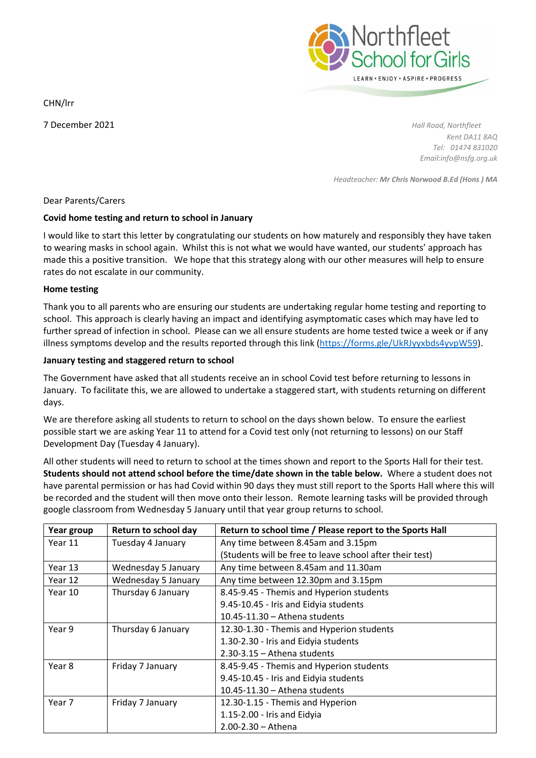CHN/lrr

Northfleet<br>School for Girls LEARN · ENJOY · ASPIRE · PROGRESS

7 December 2021 *Hall Road, Northfleet Kent DA11 8AQ Tel: 01474 831020 Email:info@nsfg.org.uk*

*Headteacher: Mr Chris Norwood B.Ed (Hons ) MA*

### Dear Parents/Carers

### **Covid home testing and return to school in January**

I would like to start this letter by congratulating our students on how maturely and responsibly they have taken to wearing masks in school again. Whilst this is not what we would have wanted, our students' approach has made this a positive transition. We hope that this strategy along with our other measures will help to ensure rates do not escalate in our community.

### **Home testing**

Thank you to all parents who are ensuring our students are undertaking regular home testing and reporting to school. This approach is clearly having an impact and identifying asymptomatic cases which may have led to further spread of infection in school. Please can we all ensure students are home tested twice a week or if any illness symptoms develop and the results reported through this link [\(https://forms.gle/UkRJyyxbds4yvpW59\)](https://forms.gle/UkRJyyxbds4yvpW59).

## **January testing and staggered return to school**

The Government have asked that all students receive an in school Covid test before returning to lessons in January. To facilitate this, we are allowed to undertake a staggered start, with students returning on different days.

We are therefore asking all students to return to school on the days shown below. To ensure the earliest possible start we are asking Year 11 to attend for a Covid test only (not returning to lessons) on our Staff Development Day (Tuesday 4 January).

All other students will need to return to school at the times shown and report to the Sports Hall for their test. **Students should not attend school before the time/date shown in the table below.** Where a student does not have parental permission or has had Covid within 90 days they must still report to the Sports Hall where this will be recorded and the student will then move onto their lesson. Remote learning tasks will be provided through google classroom from Wednesday 5 January until that year group returns to school.

| Year group | Return to school day | Return to school time / Please report to the Sports Hall |
|------------|----------------------|----------------------------------------------------------|
| Year 11    | Tuesday 4 January    | Any time between 8.45am and 3.15pm                       |
|            |                      | (Students will be free to leave school after their test) |
| Year 13    | Wednesday 5 January  | Any time between 8.45am and 11.30am                      |
| Year 12    | Wednesday 5 January  | Any time between 12.30pm and 3.15pm                      |
| Year 10    | Thursday 6 January   | 8.45-9.45 - Themis and Hyperion students                 |
|            |                      | 9.45-10.45 - Iris and Eidyia students                    |
|            |                      | $10.45 - 11.30 -$ Athena students                        |
| Year 9     | Thursday 6 January   | 12.30-1.30 - Themis and Hyperion students                |
|            |                      | 1.30-2.30 - Iris and Eidyia students                     |
|            |                      | $2.30 - 3.15 -$ Athena students                          |
| Year 8     | Friday 7 January     | 8.45-9.45 - Themis and Hyperion students                 |
|            |                      | 9.45-10.45 - Iris and Eidyia students                    |
|            |                      | $10.45 - 11.30 -$ Athena students                        |
| Year 7     | Friday 7 January     | 12.30-1.15 - Themis and Hyperion                         |
|            |                      | 1.15-2.00 - Iris and Eidyia                              |
|            |                      | $2.00 - 2.30 -$ Athena                                   |